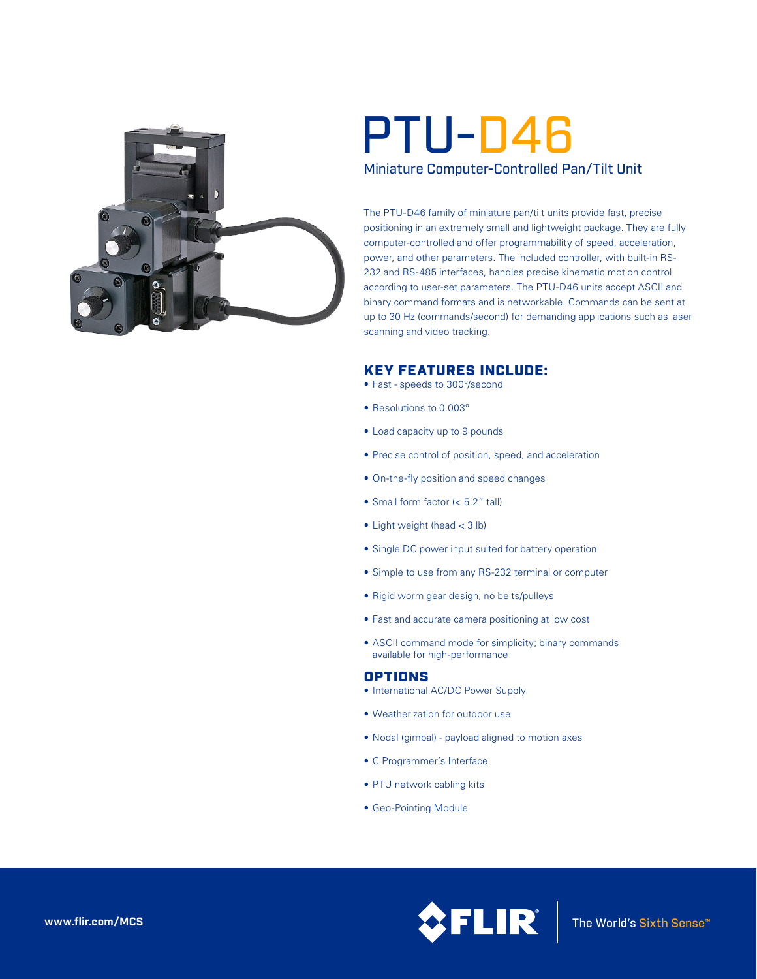

# Miniature Computer-Controlled Pan/Tilt Unit PTU-D46

The PTU-D46 family of miniature pan/tilt units provide fast, precise positioning in an extremely small and lightweight package. They are fully computer-controlled and offer programmability of speed, acceleration, power, and other parameters. The included controller, with built-in RS-232 and RS-485 interfaces, handles precise kinematic motion control according to user-set parameters. The PTU-D46 units accept ASCII and binary command formats and is networkable. Commands can be sent at up to 30 Hz (commands/second) for demanding applications such as laser scanning and video tracking.

## KEY FEATURES INCLUDE:

- • Fast speeds to 300º/second
- • Resolutions to 0.003º
- Load capacity up to 9 pounds
- Precise control of position, speed, and acceleration
- On-the-fly position and speed changes
- • Small form factor (< 5.2" tall)
- $\bullet$  Light weight (head  $<$  3 lb)
- Single DC power input suited for battery operation
- Simple to use from any RS-232 terminal or computer
- Rigid worm gear design; no belts/pulleys
- Fast and accurate camera positioning at low cost
- ASCII command mode for simplicity; binary commands available for high-performance

## OPTIONS

- International AC/DC Power Supply
- Weatherization for outdoor use
- • Nodal (gimbal) payload aligned to motion axes
- • C Programmer's Interface
- PTU network cabling kits
- Geo-Pointing Module